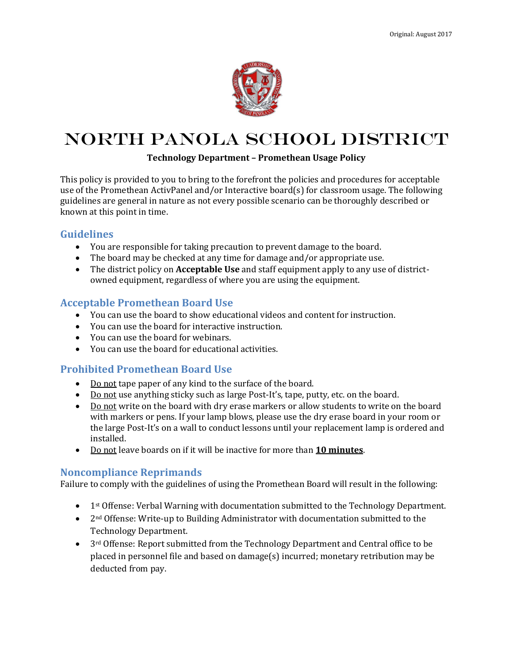

# North Panola School District

#### **Technology Department – Promethean Usage Policy**

This policy is provided to you to bring to the forefront the policies and procedures for acceptable use of the Promethean ActivPanel and/or Interactive board(s) for classroom usage. The following guidelines are general in nature as not every possible scenario can be thoroughly described or known at this point in time.

### **Guidelines**

- You are responsible for taking precaution to prevent damage to the board.
- The board may be checked at any time for damage and/or appropriate use.
- The district policy on **Acceptable Use** and staff equipment apply to any use of districtowned equipment, regardless of where you are using the equipment.

## **Acceptable Promethean Board Use**

- You can use the board to show educational videos and content for instruction.
- You can use the board for interactive instruction.
- You can use the board for webinars.
- You can use the board for educational activities.

# **Prohibited Promethean Board Use**

- Do not tape paper of any kind to the surface of the board.
- Do not use anything sticky such as large Post-It's, tape, putty, etc. on the board.
- Do not write on the board with dry erase markers or allow students to write on the board with markers or pens. If your lamp blows, please use the dry erase board in your room or the large Post-It's on a wall to conduct lessons until your replacement lamp is ordered and installed.
- Do not leave boards on if it will be inactive for more than **10 minutes**.

### **Noncompliance Reprimands**

Failure to comply with the guidelines of using the Promethean Board will result in the following:

- 1<sup>st</sup> Offense: Verbal Warning with documentation submitted to the Technology Department.
- 2<sup>nd</sup> Offense: Write-up to Building Administrator with documentation submitted to the Technology Department.
- 3<sup>rd</sup> Offense: Report submitted from the Technology Department and Central office to be placed in personnel file and based on damage(s) incurred; monetary retribution may be deducted from pay.